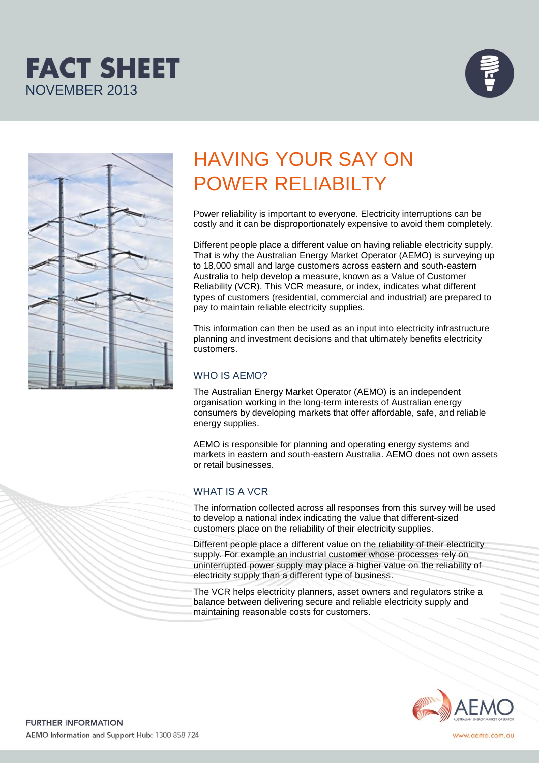





# HAVING YOUR SAY ON POWER RELIABILTY

Power reliability is important to everyone. Electricity interruptions can be costly and it can be disproportionately expensive to avoid them completely.

Different people place a different value on having reliable electricity supply. That is why the Australian Energy Market Operator (AEMO) is surveying up to 18,000 small and large customers across eastern and south-eastern Australia to help develop a measure, known as a Value of Customer Reliability (VCR). This VCR measure, or index, indicates what different types of customers (residential, commercial and industrial) are prepared to pay to maintain reliable electricity supplies.

This information can then be used as an input into electricity infrastructure planning and investment decisions and that ultimately benefits electricity customers.

## WHO IS AEMO?

The Australian Energy Market Operator (AEMO) is an independent organisation working in the long-term interests of Australian energy consumers by developing markets that offer affordable, safe, and reliable energy supplies.

AEMO is responsible for planning and operating energy systems and markets in eastern and south-eastern Australia. AEMO does not own assets or retail businesses.

# WHAT IS A VCR

The information collected across all responses from this survey will be used to develop a national index indicating the value that different-sized customers place on the reliability of their electricity supplies.

Different people place a different value on the reliability of their electricity supply. For example an industrial customer whose processes rely on uninterrupted power supply may place a higher value on the reliability of electricity supply than a different type of business.

The VCR helps electricity planners, asset owners and regulators strike a balance between delivering secure and reliable electricity supply and maintaining reasonable costs for customers.